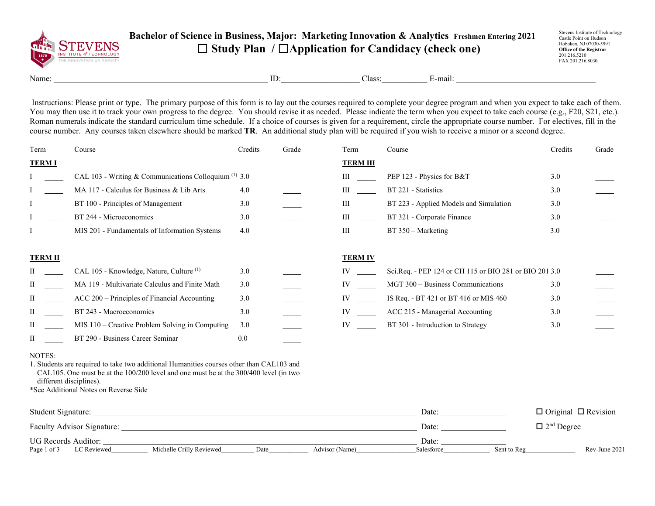

## **Bachelor of Science in Business, Major: Marketing Innovation & Analytics Freshmen Entering 2021** ☐ **Study Plan /** ☐**Application for Candidacy (check one)**

Stevens Institute of Technology Castle Point on Hudson Hoboken, NJ 07030-5991 **Office of the Registrar** 201.216.5210 FAX 201.216.8030

Name: ID:\_\_\_\_\_\_\_\_\_\_\_\_\_\_\_\_\_\_\_ Class:\_\_\_\_\_\_\_\_\_\_\_ E-mail:

Instructions: Please print or type. The primary purpose of this form is to lay out the courses required to complete your degree program and when you expect to take each of them. You may then use it to track your own progress to the degree. You should revise it as needed. Please indicate the term when you expect to take each course (e.g., F20, S21, etc.). Roman numerals indicate the standard curriculum time schedule. If a choice of courses is given for a requirement, circle the appropriate course number. For electives, fill in the course number. Any courses taken elsewhere should be marked **TR**. An additional study plan will be required if you wish to receive a minor or a second degree.

| Term           | Course                                                  | Credits | Grade | Term            | Course                                                 | Credits | Grade |
|----------------|---------------------------------------------------------|---------|-------|-----------------|--------------------------------------------------------|---------|-------|
| <b>TERMI</b>   |                                                         |         |       | <b>TERM III</b> |                                                        |         |       |
|                | CAL 103 - Writing & Communications Colloquium $(1)$ 3.0 |         |       | Ш               | PEP 123 - Physics for B&T                              | 3.0     |       |
|                | MA 117 - Calculus for Business & Lib Arts               | 4.0     |       | III             | BT 221 - Statistics                                    | 3.0     |       |
|                | BT 100 - Principles of Management                       | 3.0     |       | Ш               | BT 223 - Applied Models and Simulation                 | 3.0     |       |
|                | BT 244 - Microeconomics                                 | 3.0     |       | III             | BT 321 - Corporate Finance                             | 3.0     |       |
|                | MIS 201 - Fundamentals of Information Systems           | 4.0     |       | Ш               | $BT 350 - Marketing$                                   | 3.0     |       |
|                |                                                         |         |       |                 |                                                        |         |       |
| <b>TERM II</b> |                                                         |         |       | <b>TERM IV</b>  |                                                        |         |       |
|                | CAL 105 - Knowledge, Nature, Culture <sup>(1)</sup>     | 3.0     |       |                 | Sci.Req. - PEP 124 or CH 115 or BIO 281 or BIO 201 3.0 |         |       |
|                | MA 119 - Multivariate Calculus and Finite Math          | 3.0     |       | IV              | MGT 300 - Business Communications                      | 3.0     |       |
| Π              | ACC 200 – Principles of Financial Accounting            | 3.0     |       | IV              | IS Req. - BT 421 or BT 416 or MIS 460                  | 3.0     |       |
|                | BT 243 - Macroeconomics                                 | 3.0     |       |                 | ACC 215 - Managerial Accounting                        | 3.0     |       |
| $\mathbf{I}$   | $MIS$ 110 – Creative Problem Solving in Computing       | 3.0     |       | IV              | BT 301 - Introduction to Strategy                      | 3.0     |       |
|                | BT 290 - Business Career Seminar                        | 0.0     |       |                 |                                                        |         |       |

## NOTES:

1. Students are required to take two additional Humanities courses other than CAL103 and CAL105. One must be at the 100/200 level and one must be at the 300/400 level (in two different disciplines).

\*See Additional Notes on Reverse Side

| Student Signature:                |                          |      |                | Date:      |             | $\Box$ Original $\Box$ Revision |
|-----------------------------------|--------------------------|------|----------------|------------|-------------|---------------------------------|
| <b>Faculty Advisor Signature:</b> |                          |      |                | Date:      |             | $\Box$ 2 <sup>nd</sup> Degree   |
| UG Records Auditor:               |                          |      |                | Date:      |             |                                 |
| Page 1 of 3<br>LC Reviewed        | Michelle Crilly Reviewed | Date | Advisor (Name) | Salesforce | Sent to Reg | Rev-June 2021                   |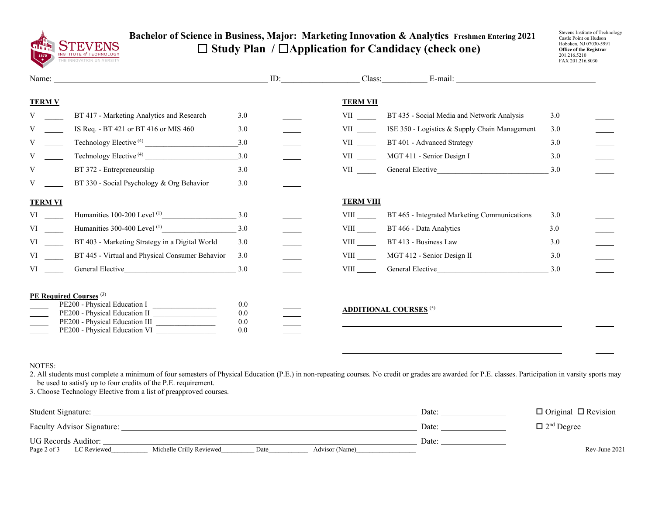

## **Bachelor of Science in Business, Major: Marketing Innovation & Analytics Freshmen Entering 2021** ☐ **Study Plan /** ☐**Application for Candidacy (check one)**

Stevens Institute of Technology Castle Point on Hudson Hoboken, NJ 07030-5991 **Office of the Registrar** 201.216.5210 FAX 201.216.8030

|                                                                                                                                                                                                                                |                                                                                                                                                                        |                          | ID: |                                                                                                                                                                                                                                | Class:                                                                                                                                                                                                                         |     |
|--------------------------------------------------------------------------------------------------------------------------------------------------------------------------------------------------------------------------------|------------------------------------------------------------------------------------------------------------------------------------------------------------------------|--------------------------|-----|--------------------------------------------------------------------------------------------------------------------------------------------------------------------------------------------------------------------------------|--------------------------------------------------------------------------------------------------------------------------------------------------------------------------------------------------------------------------------|-----|
| <b>TERM V</b>                                                                                                                                                                                                                  |                                                                                                                                                                        |                          |     | <b>TERM VII</b>                                                                                                                                                                                                                |                                                                                                                                                                                                                                |     |
|                                                                                                                                                                                                                                | BT 417 - Marketing Analytics and Research                                                                                                                              | 3.0                      |     | <b>VII</b>                                                                                                                                                                                                                     | BT 435 - Social Media and Network Analysis                                                                                                                                                                                     | 3.0 |
|                                                                                                                                                                                                                                | IS Req. - BT 421 or BT 416 or MIS 460                                                                                                                                  | 3.0                      |     | VII version of the set of the set of the set of the set of the set of the set of the set of the set of the set of the set of the set of the set of the set of the set of the set of the set of the set of the set of the set o | ISE 350 - Logistics & Supply Chain Management                                                                                                                                                                                  | 3.0 |
|                                                                                                                                                                                                                                | Technology Elective <sup>(4)</sup>                                                                                                                                     | 3.0                      |     | VII version of the set of the set of the set of the set of the set of the set of the set of the set of the set of the set of the set of the set of the set of the set of the set of the set of the set of the set of the set o | BT 401 - Advanced Strategy                                                                                                                                                                                                     | 3.0 |
|                                                                                                                                                                                                                                | Technology Elective <sup>(4)</sup>                                                                                                                                     | 3.0                      |     | VII VII                                                                                                                                                                                                                        | MGT 411 - Senior Design I                                                                                                                                                                                                      | 3.0 |
|                                                                                                                                                                                                                                | BT 372 - Entrepreneurship                                                                                                                                              | 3.0                      |     | <b>VII</b>                                                                                                                                                                                                                     | General Elective Communication of the Communication of the Communication of the Communication of the Communication of the Communication of the Communication of the Communication of the Communication of the Communication of | 3.0 |
|                                                                                                                                                                                                                                | BT 330 - Social Psychology & Org Behavior                                                                                                                              | 3.0                      |     |                                                                                                                                                                                                                                |                                                                                                                                                                                                                                |     |
| <b>TERM VI</b>                                                                                                                                                                                                                 |                                                                                                                                                                        |                          |     | <b>TERM VIII</b>                                                                                                                                                                                                               |                                                                                                                                                                                                                                |     |
|                                                                                                                                                                                                                                | Humanities 100-200 Level $^{(1)}$ 3.0                                                                                                                                  |                          |     | <b>VIII</b>                                                                                                                                                                                                                    | BT 465 - Integrated Marketing Communications                                                                                                                                                                                   | 3.0 |
| VI video and the set of the set of the set of the set of the set of the set of the set of the set of the set of the set of the set of the set of the set of the set of the set of the set of the set of the set of the set of  | Humanities 300-400 Level $^{(1)}$ 3.0                                                                                                                                  |                          |     | <b>VIII</b>                                                                                                                                                                                                                    | BT 466 - Data Analytics                                                                                                                                                                                                        | 3.0 |
| VI video video video video video video video video video video video video video video video video video video video video video video video video video video video video video video video video video video video video vid | BT 403 - Marketing Strategy in a Digital World                                                                                                                         | 3.0                      |     | <b>VIII</b>                                                                                                                                                                                                                    | BT 413 - Business Law                                                                                                                                                                                                          | 3.0 |
| VI and the set of the set of the set of the set of the set of the set of the set of the set of the set of the set of the set of the set of the set of the set of the set of the set of the set of the set of the set of the se | BT 445 - Virtual and Physical Consumer Behavior                                                                                                                        | 3.0                      |     | <b>VIII</b>                                                                                                                                                                                                                    | MGT 412 - Senior Design II                                                                                                                                                                                                     | 3.0 |
| VI — IV                                                                                                                                                                                                                        | General Elective <b>Exercise Service</b>                                                                                                                               | 3.0                      |     | <b>VIII</b>                                                                                                                                                                                                                    | General Elective <b>Exercise</b>                                                                                                                                                                                               | 3.0 |
|                                                                                                                                                                                                                                | PE Required Courses <sup>(3)</sup><br>PE200 - Physical Education I<br>PE200 - Physical Education II<br>PE200 - Physical Education III<br>PE200 - Physical Education VI | 0.0<br>0.0<br>0.0<br>0.0 |     |                                                                                                                                                                                                                                | <b>ADDITIONAL COURSES<sup>(5)</sup></b>                                                                                                                                                                                        |     |

## NOTES:

2. All students must complete a minimum of four semesters of Physical Education (P.E.) in non-repeating courses. No credit or grades are awarded for P.E. classes. Participation in varsity sports may be used to satisfy up to four credits of the P.E. requirement.

3. Choose Technology Elective from a list of preapproved courses.

| Student Signature:         |                          |      |                | Date: | $\Box$ Original $\Box$ Revision |
|----------------------------|--------------------------|------|----------------|-------|---------------------------------|
| Faculty Advisor Signature: |                          |      |                | Date: | $\Box$ 2 <sup>nd</sup> Degree   |
| UG Records Auditor:        |                          |      |                | Date: |                                 |
| Page 2 of 3<br>LC Reviewed | Michelle Crilly Reviewed | Date | Advisor (Name) |       | Rev-June 2021                   |